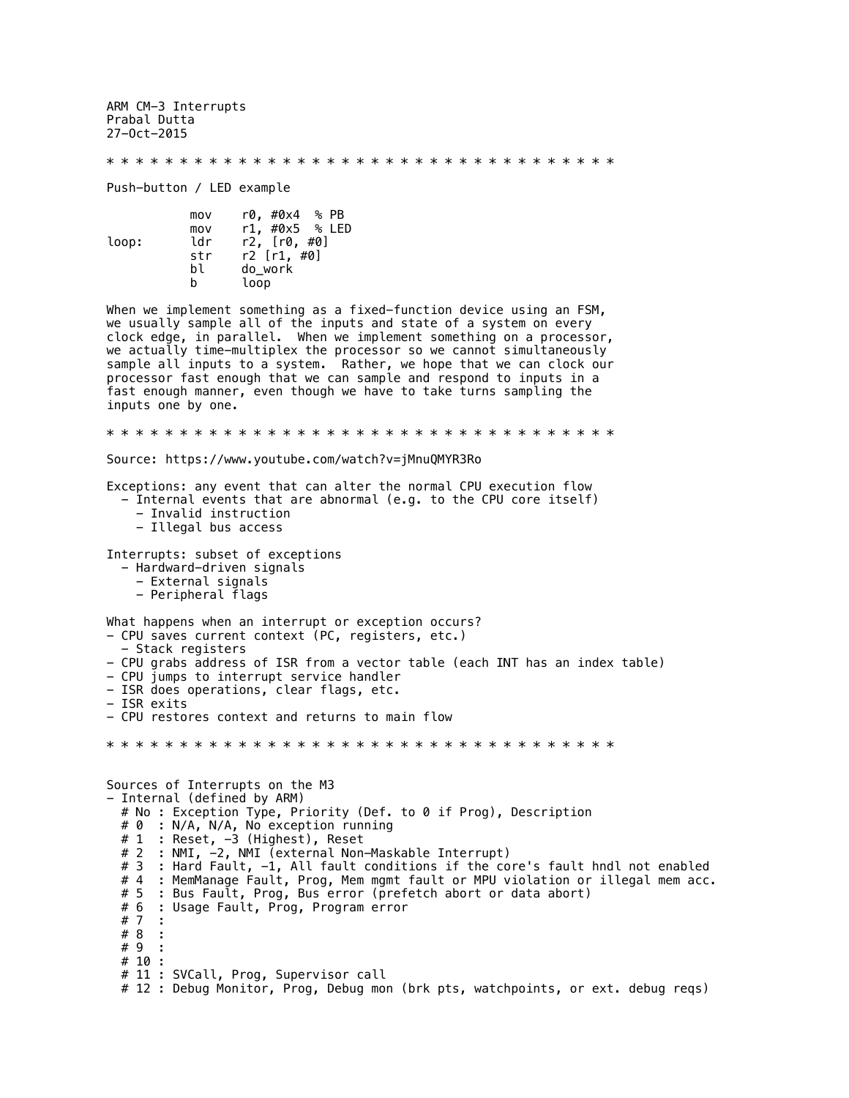ARM CM-3 Interrupts Prabal Dutta 27-Oct-2015

\* \* \* \* \* \* \* \* \* \* \* \* \* \* \* \* \* \* \* \* \* \* \* \* \* \* \* \* \* \* \* \* \* \* \*

Push-button / LED example

|       | mov | r0, #0x4 % PB     |
|-------|-----|-------------------|
|       | mov | r1, #0x5 % LED    |
| loop: | ldr | r2. [r0. #0]      |
|       | str | $r2$ [ $r1, #0$ ] |
|       | b٦  | do work           |
|       | h   | loop              |

When we implement something as a fixed-function device using an FSM, we usually sample all of the inputs and state of a system on every clock edge, in parallel. When we implement something on a processor, we actually time-multiplex the processor so we cannot simultaneously sample all inputs to a system. Rather, we hope that we can clock our processor fast enough that we can sample and respond to inputs in a fast enough manner, even though we have to take turns sampling the inputs one by one.

\* \* \* \* \* \* \* \* \* \* \* \* \* \* \* \* \* \* \* \* \* \* \* \* \* \* \* \* \* \* \* \* \* \* \*

Source: https://www.youtube.com/watch?v=jMnuQMYR3Ro

Exceptions: any event that can alter the normal CPU execution flow - Internal events that are abnormal (e.g. to the CPU core itself)

 - Invalid instruction - Illegal bus access

Interrupts: subset of exceptions

- Hardward-driven signals
	- External signals
	- Peripheral flags

What happens when an interrupt or exception occurs? - CPU saves current context (PC, registers, etc.)

- Stack registers
- CPU grabs address of ISR from a vector table (each INT has an index table)
- CPU jumps to interrupt service handler
- ISR does operations, clear flags, etc.
- ISR exits

- CPU restores context and returns to main flow

\* \* \* \* \* \* \* \* \* \* \* \* \* \* \* \* \* \* \* \* \* \* \* \* \* \* \* \* \* \* \* \* \* \* \*

Sources of Interrupts on the M3 - Internal (defined by ARM) # No : Exception Type, Priority (Def. to 0 if Prog), Description # 0 : N/A, N/A, No exception running # 1 : Reset, -3 (Highest), Reset # 2 : NMI, -2, NMI (external Non-Maskable Interrupt) # 3 : Hard Fault, -1, All fault conditions if the core's fault hndl not enabled # 4 : MemManage Fault, Prog, Mem mgmt fault or MPU violation or illegal mem acc. : Bus Fault, Prog, Bus error (prefetch abort or data abort) # 6 : Usage Fault, Prog, Program error # 7 # 8 : # 9 : # 10 : # 11 : SVCall, Prog, Supervisor call # 12 : Debug Monitor, Prog, Debug mon (brk pts, watchpoints, or ext. debug reqs)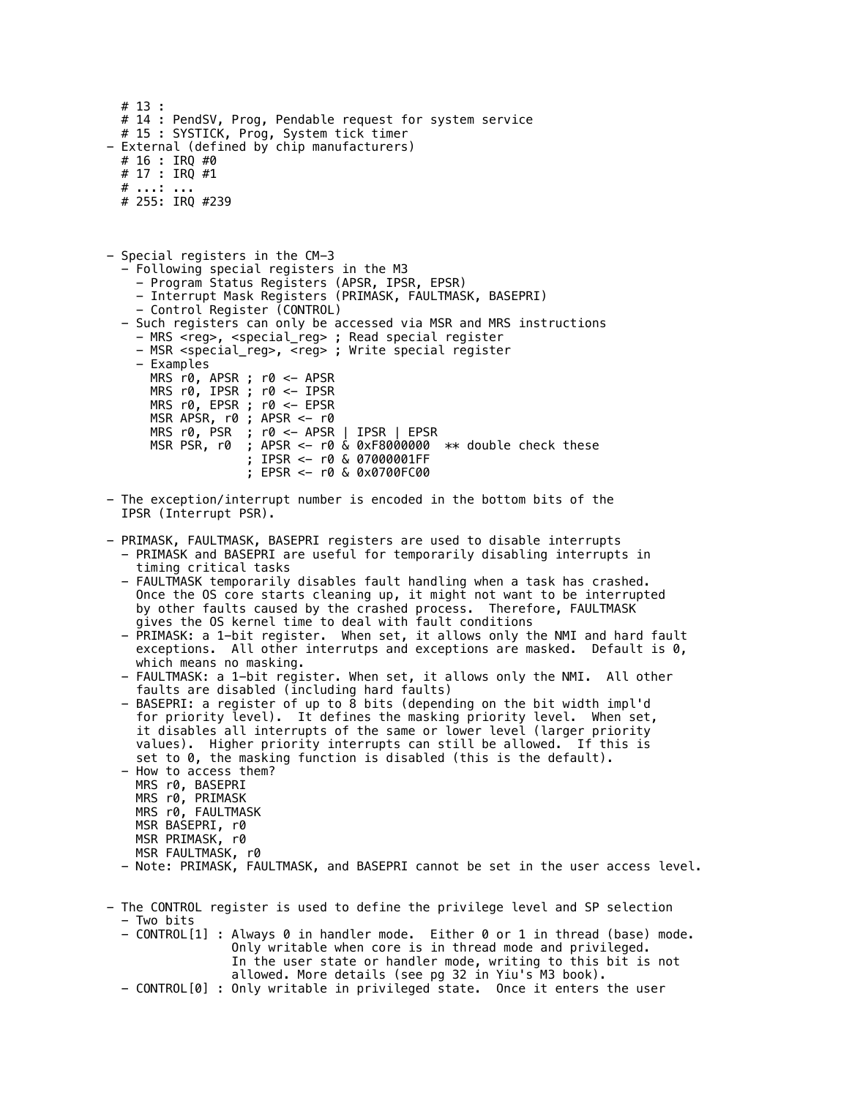```
 # 13 : 
   # 14 : PendSV, Prog, Pendable request for system service
   # 15 : SYSTICK, Prog, System tick timer
- External (defined by chip manufacturers)
 # 16 : IRQ #0
 # 17 : IRQ #1
  # \ldots : # 255: IRQ #239
- Special registers in the CM-3
   - Following special registers in the M3
     - Program Status Registers (APSR, IPSR, EPSR)
     - Interrupt Mask Registers (PRIMASK, FAULTMASK, BASEPRI)
     - Control Register (CONTROL)
   - Such registers can only be accessed via MSR and MRS instructions
     - MRS <reg>, <special_reg> ; Read special register
     - MSR <special_reg>, <reg> ; Write special register
     - Examples
       MRS r0, APSR ; r0 <- APSR
       MRS r0, IPSR ; r0 <- IPSR
       MRS r0, EPSR ; r0 <- EPSR
      MSR APSR, r0 ; APSR <- r0<br>MRS r0, PSR ; r0 <- APSR
 MRS r0, PSR ; r0 <- APSR | IPSR | EPSR
 MSR PSR, r0 ; APSR <- r0 & 0xF8000000 ** double check these
                    ; IPSR <- r0 & 07000001FF
                    ; EPSR <- r0 & 0x0700FC00
- The exception/interrupt number is encoded in the bottom bits of the
   IPSR (Interrupt PSR).
- PRIMASK, FAULTMASK, BASEPRI registers are used to disable interrupts
   - PRIMASK and BASEPRI are useful for temporarily disabling interrupts in 
     timing critical tasks
   - FAULTMASK temporarily disables fault handling when a task has crashed.
     Once the OS core starts cleaning up, it might not want to be interrupted
     by other faults caused by the crashed process. Therefore, FAULTMASK 
 gives the OS kernel time to deal with fault conditions
 - PRIMASK: a 1-bit register. When set, it allows only the NMI and hard fault
exceptions. All other interrutps and exceptions are masked. Default is \theta,
     which means no masking.
   - FAULTMASK: a 1-bit register. When set, it allows only the NMI. All other
     faults are disabled (including hard faults)
   - BASEPRI: a register of up to 8 bits (depending on the bit width impl'd
 for priority level). It defines the masking priority level. When set, 
 it disables all interrupts of the same or lower level (larger priority 
     values). Higher priority interrupts can still be allowed. If this is 
     set to 0, the masking function is disabled (this is the default).
   - How to access them?
 MRS r0, BASEPRI
 MRS r0, PRIMASK
 MRS r0, FAULTMASK
     MSR BASEPRI, r0
     MSR PRIMASK, r0
     MSR FAULTMASK, r0
   - Note: PRIMASK, FAULTMASK, and BASEPRI cannot be set in the user access level.
- The CONTROL register is used to define the privilege level and SP selection
   - Two bits
   - CONTROL[1] : Always 0 in handler mode. Either 0 or 1 in thread (base) mode.
                  Only writable when core is in thread mode and privileged.
                  In the user state or handler mode, writing to this bit is not 
                  allowed. More details (see pg 32 in Yiu's M3 book).
   - CONTROL[0] : Only writable in privileged state. Once it enters the user
```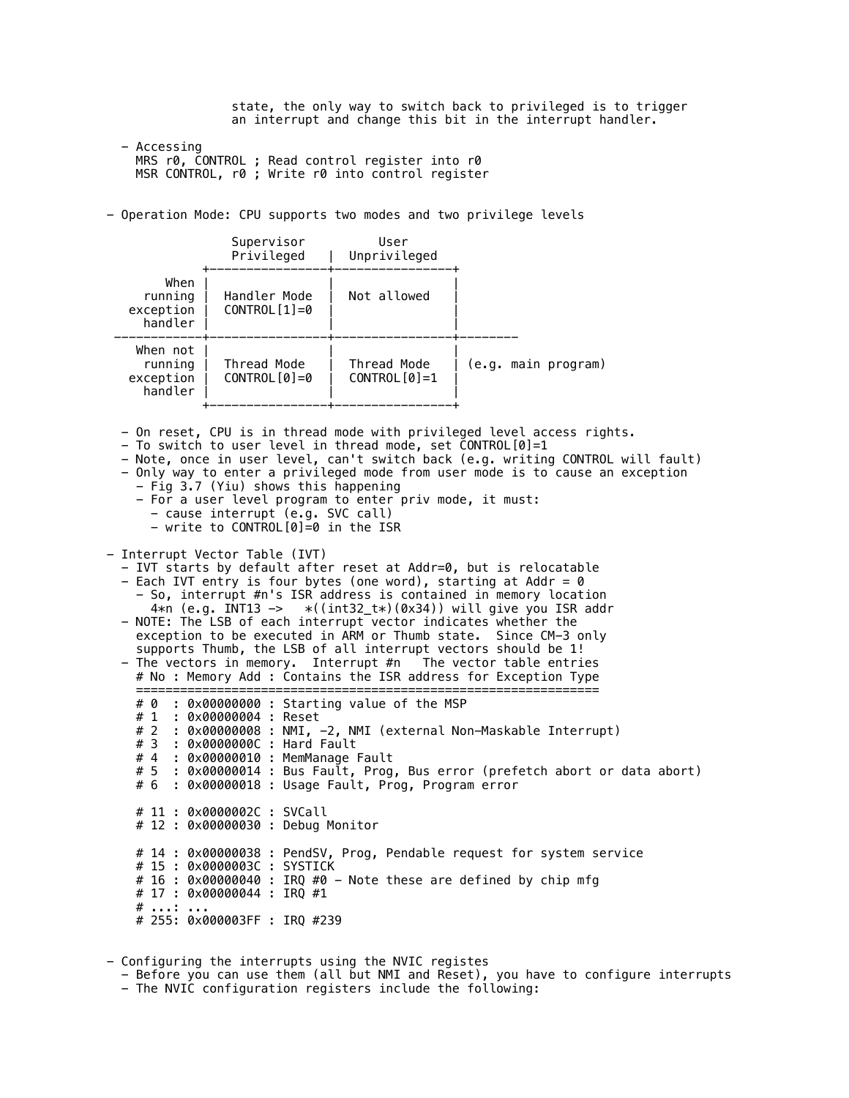state, the only way to switch back to privileged is to trigger an interrupt and change this bit in the interrupt handler.

 - Accessing MRS r0, CONTROL ; Read control register into r0 MSR CONTROL, r0 ; Write r0 into control register

- Operation Mode: CPU supports two modes and two privilege levels

 Supervisor User Privileged | Unprivileged +----------------+----------------+ When | | | running | Handler Mode | Not allowed exception  $|$  CONTROL $[1]=0$  $h$ andler ------------+----------------+----------------+-------- When not | | | running | Thread Mode | Thread Mode | (e.g. main program) exception  $\vert$  CONTROL[0]=0  $\vert$  CONTROL[0]=1 handler +----------------+----------------+ - On reset, CPU is in thread mode with privileged level access rights. - To switch to user level in thread mode, set CONTROL[0]=1 - Note, once in user level, can't switch back (e.g. writing CONTROL will fault) - Only way to enter a privileged mode from user mode is to cause an exception - Fig 3.7 (Yiu) shows this happening - For a user level program to enter priv mode, it must: - cause interrupt (e.g. SVC call) - write to CONTROL[0]=0 in the ISR - Interrupt Vector Table (IVT) - IVT starts by default after reset at Addr=0, but is relocatable - Each IVT entry is four bytes (one word), starting at Addr =  $\theta$ - So, interrupt #n's ISR address is contained in memory location<br>4\*n (e.g. INT13 -> \*((int32\_t\*)(0x34)) will give you ISR add 4\*n (e.g. INT13 -> \*((int32\_t\*)(0x34)) will give you ISR addr - NOTE: The LSB of each interrupt vector indicates whether the exception to be executed in ARM or Thumb state. Since CM-3 only supports Thumb, the LSB of all interrupt vectors should be 1! - The vectors in memory. Interrupt #n The vector table entries # No : Memory Add : Contains the ISR address for Exception Type =============================================================== # 0 : 0x00000000 : Starting value of the MSP # 1 : 0x00000004 : Reset # 2 : 0x00000008 : NMI, -2, NMI (external Non-Maskable Interrupt) # 3 : 0x0000000C : Hard Fault : 0x00000010 : MemManage Fault # 5 : 0x00000014 : Bus Fault, Prog, Bus error (prefetch abort or data abort) # 6 : 0x00000018 : Usage Fault, Prog, Program error # 11 : 0x0000002C : SVCall # 12 : 0x00000030 : Debug Monitor # 14 : 0x00000038 : PendSV, Prog, Pendable request for system service # 15 : 0x0000003C : SYSTICK # 16 : 0x00000040 : IRQ #0 - Note these are defined by chip mfg # 17 : 0x00000044 : IRQ #1 # ...: ... # 255: 0x000003FF : IRQ #239

- Configuring the interrupts using the NVIC registes - Before you can use them (all but NMI and Reset), you have to configure interrupts - The NVIC configuration registers include the following: